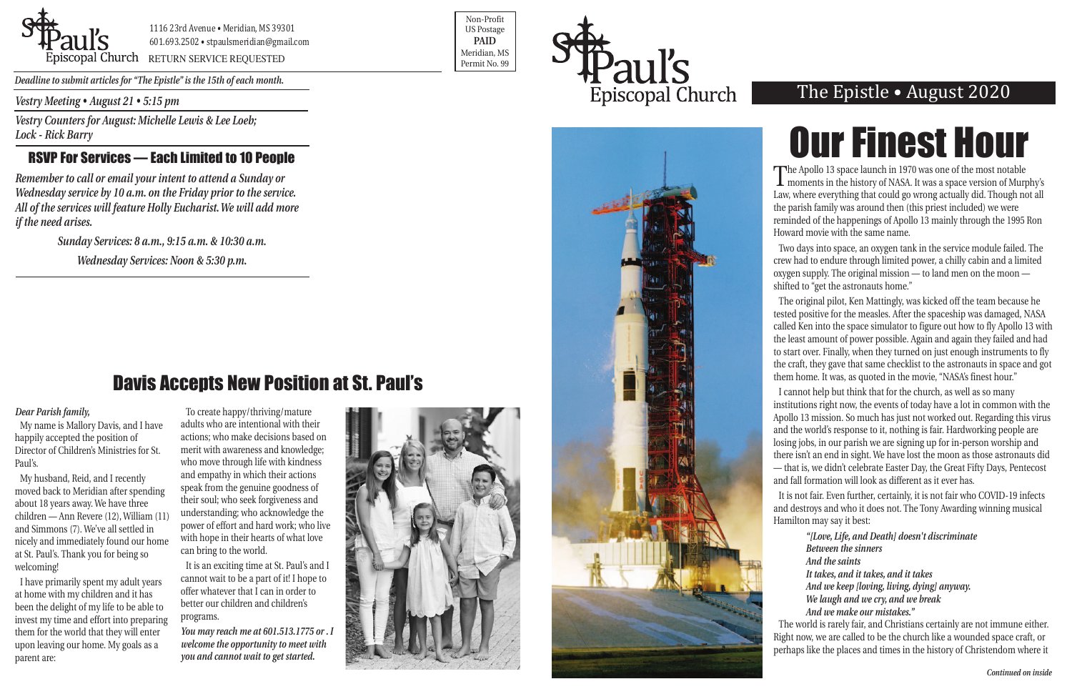*Vestry Meeting • August 21 • 5:15 pm*

*Vestry Counters for August: Michelle Lewis & Lee Loeb; Lock - Rick Barry*

### RSVP For Services — Each Limited to 10 People

*Remember to call or email your intent to attend a Sunday or Wednesday service by 10 a.m. on the Friday prior to the service. All of the services will feature Holly Eucharist. We will add more if the need arises.*

> *Sunday Services: 8 a.m., 9:15 a.m. & 10:30 a.m. Wednesday Services: Noon & 5:30 p.m.*



1116 23rd Avenue • Meridian, MS 39301 601.693.2502 • stpaulsmeridian@gmail.com

Proposition of the extent of the Contract of the Contract of the Contract of the Contract of the Permit No. 99

Non-Profit US Postage **PAID** Meridian, MS





*Deadline to submit articles for "The Epistle" is the 15th of each month.* 

## The Epistle • August 2020

The Apollo 13 space launch in 1970 was one of the most notable moments in the history of NASA. It was a space version of Murphy's Law, where everything that could go wrong actually did. Though not all the parish family was around then (this priest included) we were reminded of the happenings of Apollo 13 mainly through the 1995 Ron Howard movie with the same name.

Two days into space, an oxygen tank in the service module failed. The crew had to endure through limited power, a chilly cabin and a limited oxygen supply. The original mission — to land men on the moon shifted to "get the astronauts home."

The original pilot, Ken Mattingly, was kicked off the team because he tested positive for the measles. After the spaceship was damaged, NASA called Ken into the space simulator to figure out how to fly Apollo 13 with the least amount of power possible. Again and again they failed and had to start over. Finally, when they turned on just enough instruments to fly the craft, they gave that same checklist to the astronauts in space and got them home. It was, as quoted in the movie, "NASA's finest hour."

I cannot help but think that for the church, as well as so many institutions right now, the events of today have a lot in common with the Apollo 13 mission. So much has just not worked out. Regarding this virus and the world's response to it, nothing is fair. Hardworking people are losing jobs, in our parish we are signing up for in-person worship and there isn't an end in sight. We have lost the moon as those astronauts did — that is, we didn't celebrate Easter Day, the Great Fifty Days, Pentecost and fall formation will look as different as it ever has.

It is not fair. Even further, certainly, it is not fair who COVID-19 infects and destroys and who it does not. The Tony Awarding winning musical Hamilton may say it best:

> *"[Love, Life, and Death] doesn't discriminate Between the sinners And the saints It takes, and it takes, and it takes And we keep [loving, living, dying] anyway. We laugh and we cry, and we break And we make our mistakes."*

The world is rarely fair, and Christians certainly are not immune either. Right now, we are called to be the church like a wounded space craft, or perhaps like the places and times in the history of Christendom where it

### *Dear Parish family,*

My name is Mallory Davis, and I have happily accepted the position of Director of Children's Ministries for St. Paul's.

My husband, Reid, and I recently moved back to Meridian after spending about 18 years away. We have three children — Ann Revere (12), William (11) and Simmons (7). We've all settled in nicely and immediately found our home at St. Paul's. Thank you for being so welcoming!

I have primarily spent my adult years at home with my children and it has been the delight of my life to be able to invest my time and effort into preparing them for the world that they will enter upon leaving our home. My goals as a parent are:

To create happy/thriving/mature adults who are intentional with their actions; who make decisions based on merit with awareness and knowledge; who move through life with kindness and empathy in which their actions speak from the genuine goodness of their soul; who seek forgiveness and understanding; who acknowledge the power of effort and hard work; who live with hope in their hearts of what love can bring to the world.

It is an exciting time at St. Paul's and I cannot wait to be a part of it! I hope to offer whatever that I can in order to better our children and children's programs.

*You may reach me at 601.513.1775 or . I welcome the opportunity to meet with you and cannot wait to get started.*



# Our Finest Hour

## Davis Accepts New Position at St. Paul's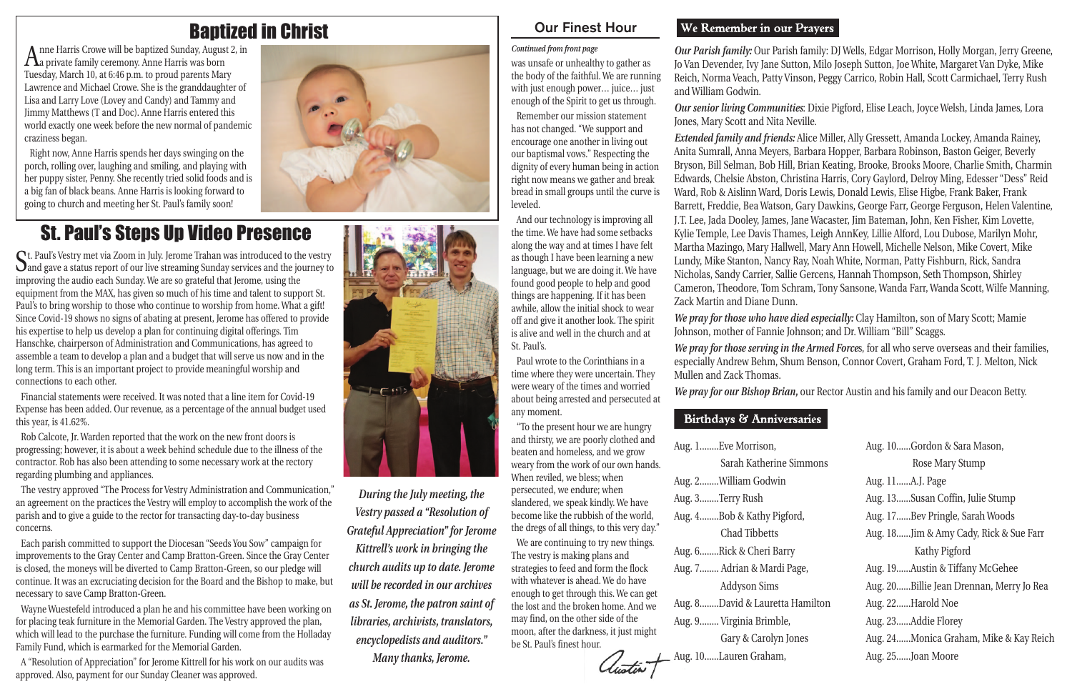*Our Parish family:* Our Parish family: DJ Wells, Edgar Morrison, Holly Morgan, Jerry Greene, Jo Van Devender, Ivy Jane Sutton, Milo Joseph Sutton, Joe White, Margaret Van Dyke, Mike Reich, Norma Veach, Patty Vinson, Peggy Carrico, Robin Hall, Scott Carmichael, Terry Rush and William Godwin.

*Our senior living Communities*: Dixie Pigford, Elise Leach, Joyce Welsh, Linda James, Lora Jones, Mary Scott and Nita Neville. *Extended family and friends:* Alice Miller, Ally Gressett, Amanda Lockey, Amanda Rainey, Anita Sumrall, Anna Meyers, Barbara Hopper, Barbara Robinson, Baston Geiger, Beverly Bryson, Bill Selman, Bob Hill, Brian Keating, Brooke, Brooks Moore, Charlie Smith, Charmin Edwards, Chelsie Abston, Christina Harris, Cory Gaylord, Delroy Ming, Edesser "Dess" Reid Ward, Rob & Aislinn Ward, Doris Lewis, Donald Lewis, Elise Higbe, Frank Baker, Frank Barrett, Freddie, Bea Watson, Gary Dawkins, George Farr, George Ferguson, Helen Valentine, J.T. Lee, Jada Dooley, James, Jane Wacaster, Jim Bateman, John, Ken Fisher, Kim Lovette, Kylie Temple, Lee Davis Thames, Leigh AnnKey, Lillie Alford, Lou Dubose, Marilyn Mohr, Martha Mazingo, Mary Hallwell, Mary Ann Howell, Michelle Nelson, Mike Covert, Mike Lundy, Mike Stanton, Nancy Ray, Noah White, Norman, Patty Fishburn, Rick, Sandra Nicholas, Sandy Carrier, Sallie Gercens, Hannah Thompson, Seth Thompson, Shirley Cameron, Theodore, Tom Schram, Tony Sansone, Wanda Farr, Wanda Scott, Wilfe Manning, Zack Martin and Diane Dunn.

*We pray for those who have died especially:* Clay Hamilton, son of Mary Scott; Mamie Johnson, mother of Fannie Johnson; and Dr. William "Bill" Scaggs.

*We pray for those serving in the Armed Force*s, for all who serve overseas and their families, especially Andrew Behm, Shum Benson, Connor Covert, Graham Ford, T. J. Melton, Nick

Mullen and Zack Thomas.

### **Birthdays & Anniversaries**

*We pray for our Bishop Brian,* our Rector Austin and his family and our Deacon Betty.

Aug. 1........Eve Morrison, Sarah Katherine Aug. 2........William Godwin Aug. 3........Terry Rush Aug. 4........Bob & Kathy Pigf Chad Tibbetts Aug. 6........Rick & Cheri Barr Aug. 7........ Adrian & Mardi Addyson Sims Aug. 8........David & Lauretta Aug. 9........ Virginia Brimble, Gary & Carolyn J Aug. 10......Lauren Graham,

|                 | Aug. 10Gordon & Sara Mason,              |
|-----------------|------------------------------------------|
| Simmons         | Rose Mary Stump                          |
|                 | Aug. 11A.J. Page                         |
|                 | Aug. 13Susan Coffin, Julie Stump         |
| ord,            | Aug. 17Bev Pringle, Sarah Woods          |
|                 | Aug. 18Jim & Amy Cady, Rick & Sue Farr   |
| ry              | Kathy Pigford                            |
| Page,           | Aug. 19Austin & Tiffany McGehee          |
|                 | Aug. 20Billie Jean Drennan, Merry Jo Rea |
| <b>Hamilton</b> | Aug. 22Harold Noe                        |
|                 | Aug. 23Addie Florey                      |
| ones            | Aug. 24Monica Graham, Mike & Kay Reich   |
|                 | Aug. 25Joan Moore                        |

Anne Harris Crowe will be baptized Sunday, August 2, in a private family ceremony. Anne Harris was born Tuesday, March 10, at 6:46 p.m. to proud parents Mary Lawrence and Michael Crowe. She is the granddaughter of Lisa and Larry Love (Lovey and Candy) and Tammy and Jimmy Matthews (T and Doc). Anne Harris entered this world exactly one week before the new normal of pandemic craziness began.

Right now, Anne Harris spends her days swinging on the porch, rolling over, laughing and smiling, and playing with her puppy sister, Penny. She recently tried solid foods and is a big fan of black beans. Anne Harris is looking forward to going to church and meeting her St. Paul's family soon!



## St. Paul's Steps Up Video Presence

St. Paul's Vestry met via Zoom in July. Jerome Trahan was introduced to the vestry and gave a status report of our live streaming Sunday services and the journey to improving the audio each Sunday. We are so grateful that Jerome, using the equipment from the MAX, has given so much of his time and talent to support St. Paul's to bring worship to those who continue to worship from home. What a gift! Since Covid-19 shows no signs of abating at present, Jerome has offered to provide his expertise to help us develop a plan for continuing digital offerings. Tim Hanschke, chairperson of Administration and Communications, has agreed to assemble a team to develop a plan and a budget that will serve us now and in the long term. This is an important project to provide meaningful worship and connections to each other.

Financial statements were received. It was noted that a line item for Covid-19 Expense has been added. Our revenue, as a percentage of the annual budget used this year, is 41.62%.

Rob Calcote, Jr. Warden reported that the work on the new front doors is progressing; however, it is about a week behind schedule due to the illness of the contractor. Rob has also been attending to some necessary work at the rectory regarding plumbing and appliances.

The vestry approved "The Process for Vestry Administration and Communication," an agreement on the practices the Vestry will employ to accomplish the work of the parish and to give a guide to the rector for transacting day-to-day business concerns.

Each parish committed to support the Diocesan "Seeds You Sow" campaign for improvements to the Gray Center and Camp Bratton-Green. Since the Gray Center is closed, the moneys will be diverted to Camp Bratton-Green, so our pledge will continue. It was an excruciating decision for the Board and the Bishop to make, but necessary to save Camp Bratton-Green.

Wayne Wuestefeld introduced a plan he and his committee have been working on for placing teak furniture in the Memorial Garden. The Vestry approved the plan, which will lead to the purchase the furniture. Funding will come from the Holladay Family Fund, which is earmarked for the Memorial Garden.

A "Resolution of Appreciation" for Jerome Kittrell for his work on our audits was approved. Also, payment for our Sunday Cleaner was approved.



*During the July meeting, the Vestry passed a "Resolution of Grateful Appreciation" for Jerome Kittrell's work in bringing the church audits up to date. Jerome will be recorded in our archives as St. Jerome, the patron saint of libraries, archivists, translators, encyclopedists and auditors." Many thanks, Jerome.*

was unsafe or unhealthy to gather as the body of the faithful. We are running with just enough power… juice… just enough of the Spirit to get us through.

Remember our mission statement has not changed. "We support and encourage one another in living out our baptismal vows." Respecting the dignity of every human being in action right now means we gather and break bread in small groups until the curve is leveled.

And our technology is improving all the time. We have had some setbacks along the way and at times I have felt as though I have been learning a new language, but we are doing it. We have found good people to help and good things are happening. If it has been awhile, allow the initial shock to wear off and give it another look. The spirit is alive and well in the church and at St. Paul's.

Paul wrote to the Corinthians in a time where they were uncertain. They were weary of the times and worried about being arrested and persecuted at any moment.

"To the present hour we are hungry and thirsty, we are poorly clothed and beaten and homeless, and we grow weary from the work of our own hands. When reviled, we bless; when persecuted, we endure; when slandered, we speak kindly. We have become like the rubbish of the world, the dregs of all things, to this very day."

We are continuing to try new things. The vestry is making plans and strategies to feed and form the flock with whatever is ahead. We do have enough to get through this. We can get the lost and the broken home. And we may find, on the other side of the moon, after the darkness, it just might be St. Paul's finest hour.

tu<del>st</del>in+

### We Remember in our Prayers

### Our Finest Hour

### *Continued from front page*

## Baptized in Christ